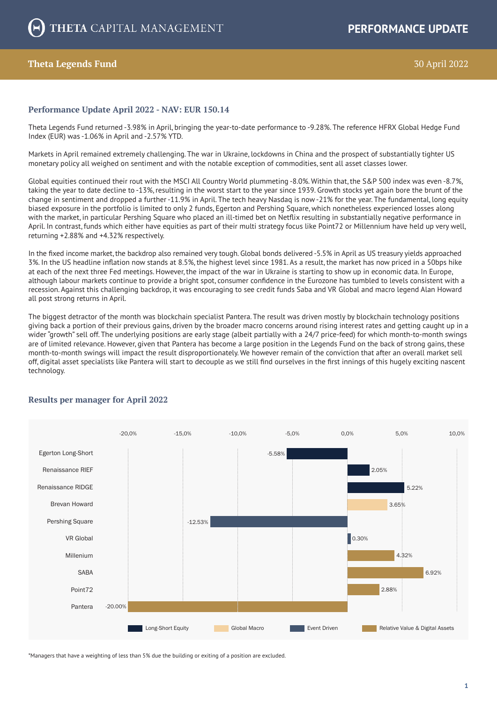# **Theta Legends Fund** 3022

### **Performance Update April 2022 - NAV: EUR 150.14**

Theta Legends Fund returned -3.98% in April, bringing the year-to-date performance to -9.28%. The reference HFRX Global Hedge Fund Index (EUR) was -1.06% in April and -2.57% YTD.

Markets in April remained extremely challenging. The war in Ukraine, lockdowns in China and the prospect of substantially tighter US monetary policy all weighed on sentiment and with the notable exception of commodities, sent all asset classes lower.

Global equities continued their rout with the MSCI All Country World plummeting -8.0%. Within that, the S&P 500 index was even -8.7%, taking the year to date decline to -13%, resulting in the worst start to the year since 1939. Growth stocks yet again bore the brunt of the change in sentiment and dropped a further -11.9% in April. The tech heavy Nasdaq is now -21% for the year. The fundamental, long equity biased exposure in the portfolio is limited to only 2 funds, Egerton and Pershing Square, which nonetheless experienced losses along with the market, in particular Pershing Square who placed an ill-timed bet on Netflix resulting in substantially negative performance in April. In contrast, funds which either have equities as part of their multi strategy focus like Point72 or Millennium have held up very well, returning +2.88% and +4.32% respectively.

In the fixed income market, the backdrop also remained very tough. Global bonds delivered -5.5% in April as US treasury yields approached 3%. In the US headline inflation now stands at 8.5%, the highest level since 1981. As a result, the market has now priced in a 50bps hike at each of the next three Fed meetings. However, the impact of the war in Ukraine is starting to show up in economic data. In Europe, although labour markets continue to provide a bright spot, consumer confidence in the Eurozone has tumbled to levels consistent with a recession. Against this challenging backdrop, it was encouraging to see credit funds Saba and VR Global and macro legend Alan Howard all post strong returns in April.

The biggest detractor of the month was blockchain specialist Pantera. The result was driven mostly by blockchain technology positions giving back a portion of their previous gains, driven by the broader macro concerns around rising interest rates and getting caught up in a wider "growth" sell off. The underlying positions are early stage (albeit partially with a 24/7 price-feed) for which month-to-month swings are of limited relevance. However, given that Pantera has become a large position in the Legends Fund on the back of strong gains, these month-to-month swings will impact the result disproportionately. We however remain of the conviction that after an overall market sell off, digital asset specialists like Pantera will start to decouple as we still find ourselves in the first innings of this hugely exciting nascent technology.



## **Results per manager for April 2022**

\*Managers that have a weighting of less than 5% due the building or exiting of a position are excluded.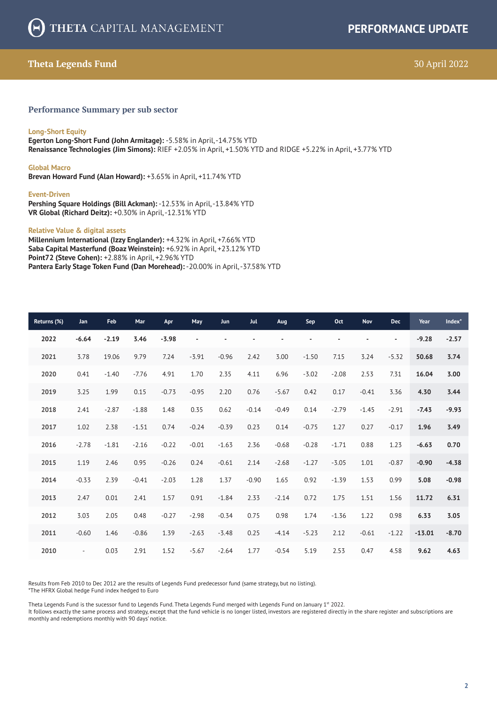# **Theta Legends Fund** 30 April 2022

### **Performance Summary per sub sector**

### **Long-Short Equity**

**Egerton Long-Short Fund (John Armitage):** -5.58% in April, -14.75% YTD **Renaissance Technologies (Jim Simons):** RIEF +2.05% in April, +1.50% YTD and RIDGE +5.22% in April, +3.77% YTD

#### **Global Macro**

**Brevan Howard Fund (Alan Howard):** +3.65% in April, +11.74% YTD

#### **Event-Driven**

**Pershing Square Holdings (Bill Ackman):** -12.53% in April, -13.84% YTD **VR Global (Richard Deitz):** +0.30% in April, -12.31% YTD

#### **Relative Value & digital assets**

**Millennium International (Izzy Englander):** +4.32% in April, +7.66% YTD **Saba Capital Masterfund (Boaz Weinstein):** +6.92% in April, +23.12% YTD **Point72 (Steve Cohen):** +2.88% in April, +2.96% YTD **Pantera Early Stage Token Fund (Dan Morehead):** -20.00% in April, -37.58% YTD

| Returns (%) | Jan       | <b>Feb</b> | Mar     | Apr     | May                      | <b>Jun</b> | <b>Jul</b>     | <b>Aug</b> | Sep            | Oct     | <b>Nov</b> | <b>Dec</b>               | Year     | Index <sup>*</sup> |
|-------------|-----------|------------|---------|---------|--------------------------|------------|----------------|------------|----------------|---------|------------|--------------------------|----------|--------------------|
| 2022        | $-6.64$   | $-2.19$    | 3.46    | $-3.98$ | $\overline{\phantom{a}}$ |            | $\blacksquare$ |            | $\blacksquare$ |         |            | $\overline{\phantom{a}}$ | $-9.28$  | $-2.57$            |
| 2021        | 3.78      | 19.06      | 9.79    | 7.24    | $-3.91$                  | $-0.96$    | 2.42           | 3.00       | $-1.50$        | 7.15    | 3.24       | $-5.32$                  | 50.68    | 3.74               |
| 2020        | 0.41      | $-1.40$    | $-7.76$ | 4.91    | 1.70                     | 2.35       | 4.11           | 6.96       | $-3.02$        | $-2.08$ | 2.53       | 7.31                     | 16.04    | 3.00               |
| 2019        | 3.25      | 1.99       | 0.15    | $-0.73$ | $-0.95$                  | 2.20       | 0.76           | $-5.67$    | 0.42           | 0.17    | $-0.41$    | 3.36                     | 4.30     | 3.44               |
| 2018        | 2.41      | $-2.87$    | $-1.88$ | 1.48    | 0.35                     | 0.62       | $-0.14$        | $-0.49$    | 0.14           | $-2.79$ | $-1.45$    | $-2.91$                  | $-7.43$  | $-9.93$            |
| 2017        | 1.02      | 2.38       | $-1.51$ | 0.74    | $-0.24$                  | $-0.39$    | 0.23           | 0.14       | $-0.75$        | 1.27    | 0.27       | $-0.17$                  | 1.96     | 3.49               |
| 2016        | $-2.78$   | $-1.81$    | $-2.16$ | $-0.22$ | $-0.01$                  | $-1.63$    | 2.36           | $-0.68$    | $-0.28$        | $-1.71$ | 0.88       | 1.23                     | $-6.63$  | 0.70               |
| 2015        | 1.19      | 2.46       | 0.95    | $-0.26$ | 0.24                     | $-0.61$    | 2.14           | $-2.68$    | $-1.27$        | $-3.05$ | 1.01       | $-0.87$                  | $-0.90$  | $-4.38$            |
| 2014        | $-0.33$   | 2.39       | $-0.41$ | $-2.03$ | 1.28                     | 1.37       | $-0.90$        | 1.65       | 0.92           | $-1.39$ | 1.53       | 0.99                     | 5.08     | $-0.98$            |
| 2013        | 2.47      | 0.01       | 2.41    | 1.57    | 0.91                     | $-1.84$    | 2.33           | $-2.14$    | 0.72           | 1.75    | 1.51       | 1.56                     | 11.72    | 6.31               |
| 2012        | 3.03      | 2.05       | 0.48    | $-0.27$ | $-2.98$                  | $-0.34$    | 0.75           | 0.98       | 1.74           | $-1.36$ | 1.22       | 0.98                     | 6.33     | 3.05               |
| 2011        | $-0.60$   | 1.46       | $-0.86$ | 1.39    | $-2.63$                  | $-3.48$    | 0.25           | $-4.14$    | $-5.23$        | 2.12    | $-0.61$    | $-1.22$                  | $-13.01$ | $-8.70$            |
| 2010        | $\bar{a}$ | 0.03       | 2.91    | 1.52    | $-5.67$                  | $-2.64$    | 1.77           | $-0.54$    | 5.19           | 2.53    | 0.47       | 4.58                     | 9.62     | 4.63               |

Results from Feb 2010 to Dec 2012 are the results of Legends Fund predecessor fund (same strategy, but no listing). \*The HFRX Global hedge Fund index hedged to Euro

Theta Legends Fund is the sucessor fund to Legends Fund. Theta Legends Fund merged with Legends Fund on January  $1<sup>st</sup>$  2022.

It follows exactly the same process and strategy, except that the fund vehicle is no longer listed, investors are registered directly in the share register and subscriptions are monthly and redemptions monthly with 90 days' notice.